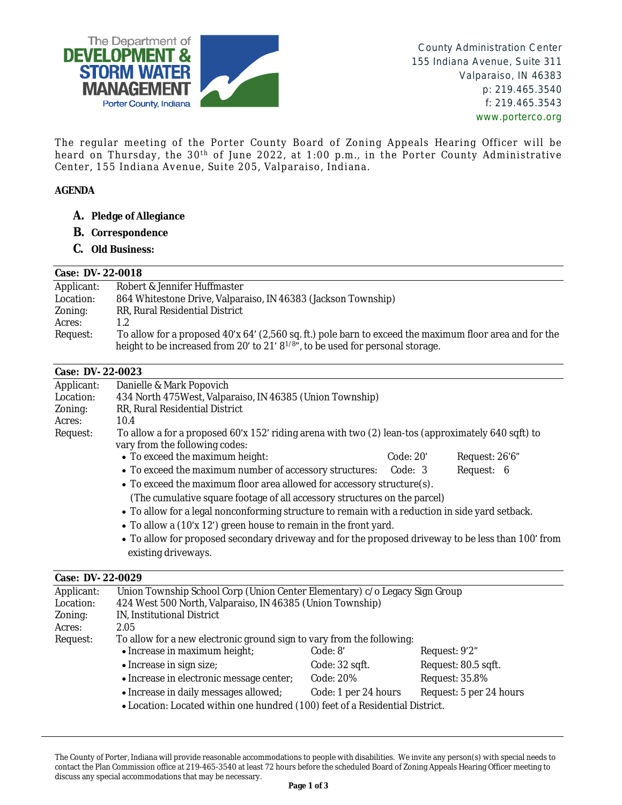

County Administration Center 155 Indiana Avenue, Suite 311 Valparaiso, IN 46383 p: 219.465.3540 f: 219.465.3543 www.porterco.org

The regular meeting of the Porter County Board of Zoning Appeals Hearing Officer will be heard on Thursday, the 30<sup>th</sup> of June 2022, at 1:00 p.m., in the Porter County Administrative Center, 155 Indiana Avenue, Suite 205, Valparaiso, Indiana.

# **AGENDA**

- **A. Pledge of Allegiance**
- **B. Correspondence**
- **C. Old Business:**

### **Case: DV- 22-0018**

| Applicant: | Robert & Jennifer Huffmaster                                                                            |  |  |
|------------|---------------------------------------------------------------------------------------------------------|--|--|
| Location:  | 864 Whitestone Drive, Valparaiso, IN 46383 (Jackson Township)                                           |  |  |
| Zoning:    | RR, Rural Residential District                                                                          |  |  |
| Acres:     | 1.2                                                                                                     |  |  |
| Request:   | To allow for a proposed 40'x 64' (2,560 sq. ft.) pole barn to exceed the maximum floor area and for the |  |  |
|            | height to be increased from 20' to 21' $8^{1/8}$ ", to be used for personal storage.                    |  |  |

# **Case: DV- 22-0023**

| Applicant: | Danielle & Mark Popovich                                                                                                             |           |                |
|------------|--------------------------------------------------------------------------------------------------------------------------------------|-----------|----------------|
| Location:  | 434 North 475 West, Valparaiso, IN 46385 (Union Township)                                                                            |           |                |
| Zoning:    | RR, Rural Residential District                                                                                                       |           |                |
| Acres:     | 10.4                                                                                                                                 |           |                |
| Request:   | To allow a for a proposed 60'x 152' riding arena with two (2) lean-tos (approximately 640 sqft) to<br>vary from the following codes: |           |                |
|            | • To exceed the maximum height:                                                                                                      | Code: 20' | Request: 26'6" |
|            | • To exceed the maximum number of accessory structures: Code: 3                                                                      |           | Request: 6     |
|            | • To exceed the maximum floor area allowed for accessory structure(s).                                                               |           |                |
|            | (The cumulative square footage of all accessory structures on the parcel)                                                            |           |                |
|            | • To allow for a legal nonconforming structure to remain with a reduction in side yard setback.                                      |           |                |
|            | • To allow a (10'x 12') green house to remain in the front yard.                                                                     |           |                |
|            | • To allow for proposed secondary driveway and for the proposed driveway to be less than 100' from<br>existing driveways.            |           |                |
|            |                                                                                                                                      |           |                |

### **Case: DV- 22-0029**

| Applicant: | Union Township School Corp (Union Center Elementary) c/o Legacy Sign Group   |                      |                         |
|------------|------------------------------------------------------------------------------|----------------------|-------------------------|
| Location:  | 424 West 500 North, Valparaiso, IN 46385 (Union Township)                    |                      |                         |
| Zoning:    | IN, Institutional District                                                   |                      |                         |
| Acres:     | 2.05                                                                         |                      |                         |
| Request:   | To allow for a new electronic ground sign to vary from the following:        |                      |                         |
|            | • Increase in maximum height;                                                | Code: 8'             | Request: 9'2"           |
|            | • Increase in sign size;                                                     | Code: 32 sqft.       | Request: 80.5 sqft.     |
|            | • Increase in electronic message center;                                     | Code: 20%            | Request: 35.8%          |
|            | • Increase in daily messages allowed;                                        | Code: 1 per 24 hours | Request: 5 per 24 hours |
|            | • Location: Located within one hundred (100) feet of a Residential District. |                      |                         |

The County of Porter, Indiana will provide reasonable accommodations to people with disabilities. We invite any person(s) with special needs to contact the Plan Commission office at 219-465-3540 at least 72 hours before the scheduled Board of Zoning Appeals Hearing Officer meeting to discuss any special accommodations that may be necessary.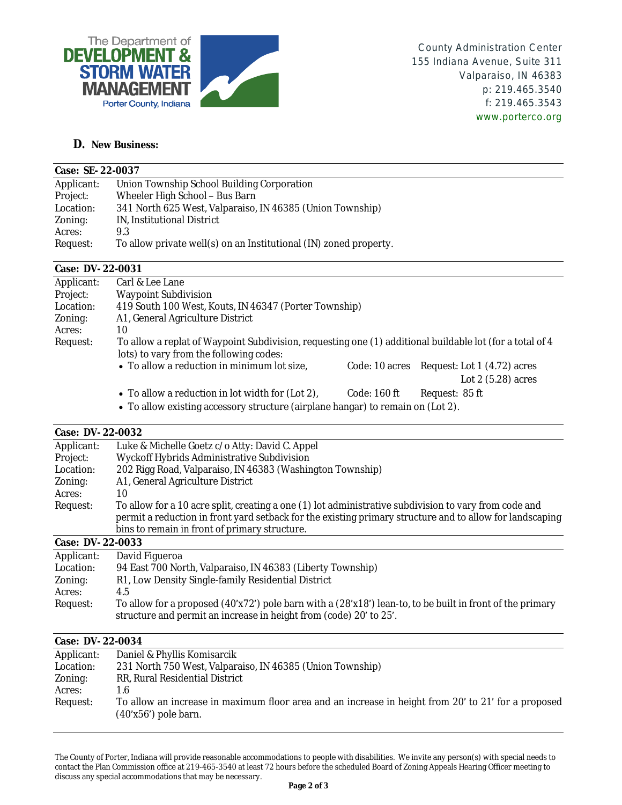

# **D. New Business:**

| Case: SE-22-0037 |                                                                   |  |
|------------------|-------------------------------------------------------------------|--|
| Applicant:       | Union Township School Building Corporation                        |  |
| Project:         | Wheeler High School - Bus Barn                                    |  |
| Location:        | 341 North 625 West, Valparaiso, IN 46385 (Union Township)         |  |
| Zoning:          | IN, Institutional District                                        |  |
| Acres:           | 9.3                                                               |  |
| Request:         | To allow private well(s) on an Institutional (IN) zoned property. |  |

# **Case: DV- 22-0031**

| Applicant: | Carl & Lee Lane                                                                                          |  |  |
|------------|----------------------------------------------------------------------------------------------------------|--|--|
| Project:   | <b>Waypoint Subdivision</b>                                                                              |  |  |
| Location:  | 419 South 100 West, Kouts, IN 46347 (Porter Township)                                                    |  |  |
| Zoning:    | A1, General Agriculture District                                                                         |  |  |
| Acres:     | 10                                                                                                       |  |  |
| Request:   | To allow a replat of Waypoint Subdivision, requesting one (1) additional buildable lot (for a total of 4 |  |  |
|            | lots) to vary from the following codes:                                                                  |  |  |
|            | • To allow a reduction in minimum lot size,<br>Code: 10 acres Request: Lot 1 (4.72) acres                |  |  |
|            | Lot $2(5.28)$ acres                                                                                      |  |  |

- To allow a reduction in lot width for (Lot 2), Code: 160 ft Request: 85 ft
- To allow existing accessory structure (airplane hangar) to remain on (Lot 2).

### **Case: DV- 22-0032**

| Applicant:       | Luke & Michelle Goetz c/o Atty: David C. Appel                                                                                                                                                                    |
|------------------|-------------------------------------------------------------------------------------------------------------------------------------------------------------------------------------------------------------------|
| Project:         | Wyckoff Hybrids Administrative Subdivision                                                                                                                                                                        |
| Location:        | 202 Rigg Road, Valparaiso, IN 46383 (Washington Township)                                                                                                                                                         |
| Zoning:          | A1, General Agriculture District                                                                                                                                                                                  |
| Acres:           | 10                                                                                                                                                                                                                |
| Request:         | To allow for a 10 acre split, creating a one (1) lot administrative subdivision to vary from code and<br>permit a reduction in front yard setback for the existing primary structure and to allow for landscaping |
|                  | bins to remain in front of primary structure.                                                                                                                                                                     |
| Case: DV-22-0033 |                                                                                                                                                                                                                   |

| Applicant: | David Figueroa                                                                                                                                                                  |  |  |
|------------|---------------------------------------------------------------------------------------------------------------------------------------------------------------------------------|--|--|
| Location:  | 94 East 700 North, Valparaiso, IN 46383 (Liberty Township)                                                                                                                      |  |  |
| Zoning:    | R1, Low Density Single-family Residential District                                                                                                                              |  |  |
| Acres:     | 4.5                                                                                                                                                                             |  |  |
| Request:   | To allow for a proposed (40'x72') pole barn with a (28'x18') lean-to, to be built in front of the primary<br>structure and permit an increase in height from (code) 20' to 25'. |  |  |

## **Case: DV- 22-0034**

| Daniel & Phyllis Komisarcik                                                                                                   |
|-------------------------------------------------------------------------------------------------------------------------------|
| 231 North 750 West, Valparaiso, IN 46385 (Union Township)                                                                     |
| RR, Rural Residential District                                                                                                |
| 1.6                                                                                                                           |
| To allow an increase in maximum floor area and an increase in height from 20' to 21' for a proposed<br>$(40'x56')$ pole barn. |
|                                                                                                                               |

The County of Porter, Indiana will provide reasonable accommodations to people with disabilities. We invite any person(s) with special needs to contact the Plan Commission office at 219-465-3540 at least 72 hours before the scheduled Board of Zoning Appeals Hearing Officer meeting to discuss any special accommodations that may be necessary.